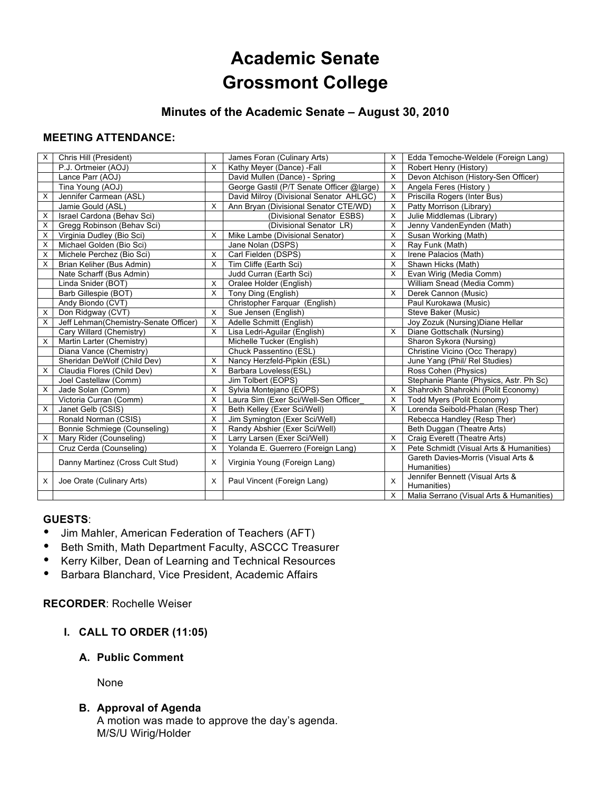# **Academic Senate Grossmont College**

## **Minutes of the Academic Senate – August 30, 2010**

## **MEETING ATTENDANCE:**

| X | Chris Hill (President)                |              | James Foran (Culinary Arts)               | X        | Edda Temoche-Weldele (Foreign Lang)                |
|---|---------------------------------------|--------------|-------------------------------------------|----------|----------------------------------------------------|
|   | P.J. Ortmeier (AOJ)                   | X            | Kathy Meyer (Dance) -Fall                 | X        | Robert Henry (History)                             |
|   | Lance Parr (AOJ)                      |              | David Mullen (Dance) - Spring             | X        | Devon Atchison (History-Sen Officer)               |
|   | Tina Young (AOJ)                      |              | George Gastil (P/T Senate Officer @large) | X        | Angela Feres (History)                             |
| X | Jennifer Carmean (ASL)                |              | David Milroy (Divisional Senator AHLGC)   | X        | Priscilla Rogers (Inter Bus)                       |
|   | Jamie Gould (ASL)                     | $\times$     | Ann Bryan (Divisional Senator CTE/WD)     | X        | Patty Morrison (Library)                           |
| X | Israel Cardona (Behav Sci)            |              | (Divisional Senator ESBS)                 | X        | Julie Middlemas (Library)                          |
| X | Gregg Robinson (Behav Sci)            |              | (Divisional Senator LR)                   | X        | Jenny VandenEynden (Math)                          |
| X | Virginia Dudley (Bio Sci)             | X            | Mike Lambe (Divisional Senator)           | X        | Susan Working (Math)                               |
| X | Michael Golden (Bio Sci)              |              | Jane Nolan (DSPS)                         | X        | Ray Funk (Math)                                    |
| X | Michele Perchez (Bio Sci)             | X            | Carl Fielden (DSPS)                       | X        | Irene Palacios (Math)                              |
| X | Brian Keliher (Bus Admin)             | $\mathsf{X}$ | Tim Cliffe (Earth Sci)                    | $\times$ | Shawn Hicks (Math)                                 |
|   | Nate Scharff (Bus Admin)              |              | Judd Curran (Earth Sci)                   | X        | Evan Wirig (Media Comm)                            |
|   | Linda Snider (BOT)                    | $\mathsf{X}$ | Oralee Holder (English)                   |          | William Snead (Media Comm)                         |
|   | Barb Gillespie (BOT)                  | $\times$     | Tony Ding (English)                       | X        | Derek Cannon (Music)                               |
|   | Andy Biondo (CVT)                     |              | Christopher Farquar (English)             |          | Paul Kurokawa (Music)                              |
| X | Don Ridgway (CVT)                     | $\times$     | Sue Jensen (English)                      |          | Steve Baker (Music)                                |
| X | Jeff Lehman(Chemistry-Senate Officer) | X            | Adelle Schmitt (English)                  |          | Joy Zozuk (Nursing) Diane Hellar                   |
|   | Cary Willard (Chemistry)              | $\times$     | Lisa Ledri-Aguilar (English)              | X        | Diane Gottschalk (Nursing)                         |
| X | Martin Larter (Chemistry)             |              | Michelle Tucker (English)                 |          | Sharon Sykora (Nursing)                            |
|   | Diana Vance (Chemistry)               |              | Chuck Passentino (ESL)                    |          | Christine Vicino (Occ Therapy)                     |
|   | Sheridan DeWolf (Child Dev)           | X            | Nancy Herzfeld-Pipkin (ESL)               |          | June Yang (Phil/ Rel Studies)                      |
| х | Claudia Flores (Child Dev)            | X            | Barbara Loveless(ESL)                     |          | Ross Cohen (Physics)                               |
|   | Joel Castellaw (Comm)                 |              | Jim Tolbert (EOPS)                        |          | Stephanie Plante (Physics, Astr. Ph Sc)            |
| X | Jade Solan (Comm)                     | X            | Sylvia Montejano (EOPS)                   | X        | Shahrokh Shahrokhi (Polit Economy)                 |
|   | Victoria Curran (Comm)                | $\times$     | Laura Sim (Exer Sci/Well-Sen Officer      | X        | Todd Myers (Polit Economy)                         |
| X | Janet Gelb (CSIS)                     | X            | Beth Kelley (Exer Sci/Well)               | X        | Lorenda Seibold-Phalan (Resp Ther)                 |
|   | Ronald Norman (CSIS)                  | X            | Jim Symington (Exer Sci/Well)             |          | Rebecca Handley (Resp Ther)                        |
|   | Bonnie Schmiege (Counseling)          | X            | Randy Abshier (Exer Sci/Well)             |          | Beth Duggan (Theatre Arts)                         |
| X | Mary Rider (Counseling)               | X            | Larry Larsen (Exer Sci/Well)              | X        | Craig Everett (Theatre Arts)                       |
|   | Cruz Cerda (Counseling)               | $\times$     | Yolanda E. Guerrero (Foreign Lang)        | X        | Pete Schmidt (Visual Arts & Humanities)            |
|   | Danny Martinez (Cross Cult Stud)      | $\times$     | Virginia Young (Foreign Lang)             |          | Gareth Davies-Morris (Visual Arts &<br>Humanities) |
|   |                                       |              |                                           |          | Jennifer Bennett (Visual Arts &                    |
| X | Joe Orate (Culinary Arts)             | X            | Paul Vincent (Foreign Lang)               | X        | Humanities)                                        |
|   |                                       |              |                                           | X        | Malia Serrano (Visual Arts & Humanities)           |

## **GUESTS**:

- Jim Mahler, American Federation of Teachers (AFT)
- Beth Smith, Math Department Faculty, ASCCC Treasurer
- Kerry Kilber, Dean of Learning and Technical Resources
- Barbara Blanchard, Vice President, Academic Affairs

**RECORDER**: Rochelle Weiser

## **I. CALL TO ORDER (11:05)**

## **A. Public Comment**

None

#### **B. Approval of Agenda**

A motion was made to approve the day's agenda. M/S/U Wirig/Holder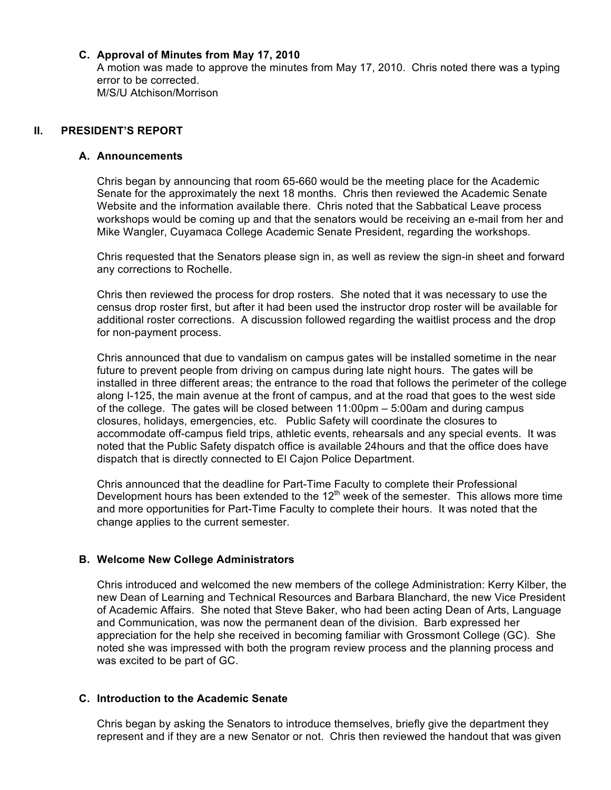#### **C. Approval of Minutes from May 17, 2010**

A motion was made to approve the minutes from May 17, 2010. Chris noted there was a typing error to be corrected. M/S/U Atchison/Morrison

#### **II. PRESIDENT'S REPORT**

#### **A. Announcements**

Chris began by announcing that room 65-660 would be the meeting place for the Academic Senate for the approximately the next 18 months. Chris then reviewed the Academic Senate Website and the information available there. Chris noted that the Sabbatical Leave process workshops would be coming up and that the senators would be receiving an e-mail from her and Mike Wangler, Cuyamaca College Academic Senate President, regarding the workshops.

Chris requested that the Senators please sign in, as well as review the sign-in sheet and forward any corrections to Rochelle.

Chris then reviewed the process for drop rosters. She noted that it was necessary to use the census drop roster first, but after it had been used the instructor drop roster will be available for additional roster corrections. A discussion followed regarding the waitlist process and the drop for non-payment process.

Chris announced that due to vandalism on campus gates will be installed sometime in the near future to prevent people from driving on campus during late night hours. The gates will be installed in three different areas; the entrance to the road that follows the perimeter of the college along I-125, the main avenue at the front of campus, and at the road that goes to the west side of the college. The gates will be closed between 11:00pm – 5:00am and during campus closures, holidays, emergencies, etc. Public Safety will coordinate the closures to accommodate off-campus field trips, athletic events, rehearsals and any special events. It was noted that the Public Safety dispatch office is available 24hours and that the office does have dispatch that is directly connected to El Cajon Police Department.

Chris announced that the deadline for Part-Time Faculty to complete their Professional Development hours has been extended to the  $12<sup>th</sup>$  week of the semester. This allows more time and more opportunities for Part-Time Faculty to complete their hours. It was noted that the change applies to the current semester.

## **B. Welcome New College Administrators**

Chris introduced and welcomed the new members of the college Administration: Kerry Kilber, the new Dean of Learning and Technical Resources and Barbara Blanchard, the new Vice President of Academic Affairs. She noted that Steve Baker, who had been acting Dean of Arts, Language and Communication, was now the permanent dean of the division. Barb expressed her appreciation for the help she received in becoming familiar with Grossmont College (GC). She noted she was impressed with both the program review process and the planning process and was excited to be part of GC.

## **C. Introduction to the Academic Senate**

Chris began by asking the Senators to introduce themselves, briefly give the department they represent and if they are a new Senator or not. Chris then reviewed the handout that was given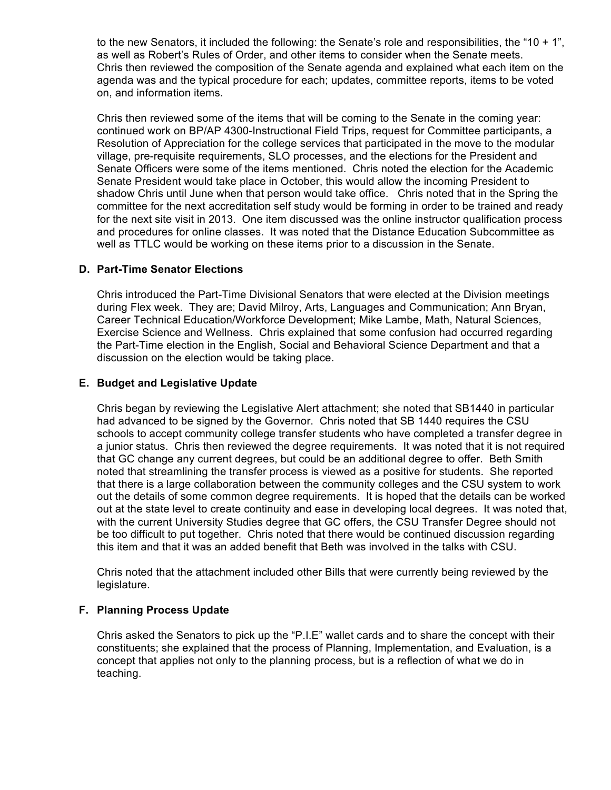to the new Senators, it included the following: the Senate's role and responsibilities, the "10 + 1", as well as Robert's Rules of Order, and other items to consider when the Senate meets. Chris then reviewed the composition of the Senate agenda and explained what each item on the agenda was and the typical procedure for each; updates, committee reports, items to be voted on, and information items.

Chris then reviewed some of the items that will be coming to the Senate in the coming year: continued work on BP/AP 4300-Instructional Field Trips, request for Committee participants, a Resolution of Appreciation for the college services that participated in the move to the modular village, pre-requisite requirements, SLO processes, and the elections for the President and Senate Officers were some of the items mentioned. Chris noted the election for the Academic Senate President would take place in October, this would allow the incoming President to shadow Chris until June when that person would take office. Chris noted that in the Spring the committee for the next accreditation self study would be forming in order to be trained and ready for the next site visit in 2013. One item discussed was the online instructor qualification process and procedures for online classes. It was noted that the Distance Education Subcommittee as well as TTLC would be working on these items prior to a discussion in the Senate.

## **D. Part-Time Senator Elections**

Chris introduced the Part-Time Divisional Senators that were elected at the Division meetings during Flex week. They are; David Milroy, Arts, Languages and Communication; Ann Bryan, Career Technical Education/Workforce Development; Mike Lambe, Math, Natural Sciences, Exercise Science and Wellness. Chris explained that some confusion had occurred regarding the Part-Time election in the English, Social and Behavioral Science Department and that a discussion on the election would be taking place.

## **E. Budget and Legislative Update**

Chris began by reviewing the Legislative Alert attachment; she noted that SB1440 in particular had advanced to be signed by the Governor. Chris noted that SB 1440 requires the CSU schools to accept community college transfer students who have completed a transfer degree in a junior status. Chris then reviewed the degree requirements. It was noted that it is not required that GC change any current degrees, but could be an additional degree to offer. Beth Smith noted that streamlining the transfer process is viewed as a positive for students. She reported that there is a large collaboration between the community colleges and the CSU system to work out the details of some common degree requirements. It is hoped that the details can be worked out at the state level to create continuity and ease in developing local degrees. It was noted that, with the current University Studies degree that GC offers, the CSU Transfer Degree should not be too difficult to put together. Chris noted that there would be continued discussion regarding this item and that it was an added benefit that Beth was involved in the talks with CSU.

Chris noted that the attachment included other Bills that were currently being reviewed by the legislature.

## **F. Planning Process Update**

Chris asked the Senators to pick up the "P.I.E" wallet cards and to share the concept with their constituents; she explained that the process of Planning, Implementation, and Evaluation, is a concept that applies not only to the planning process, but is a reflection of what we do in teaching.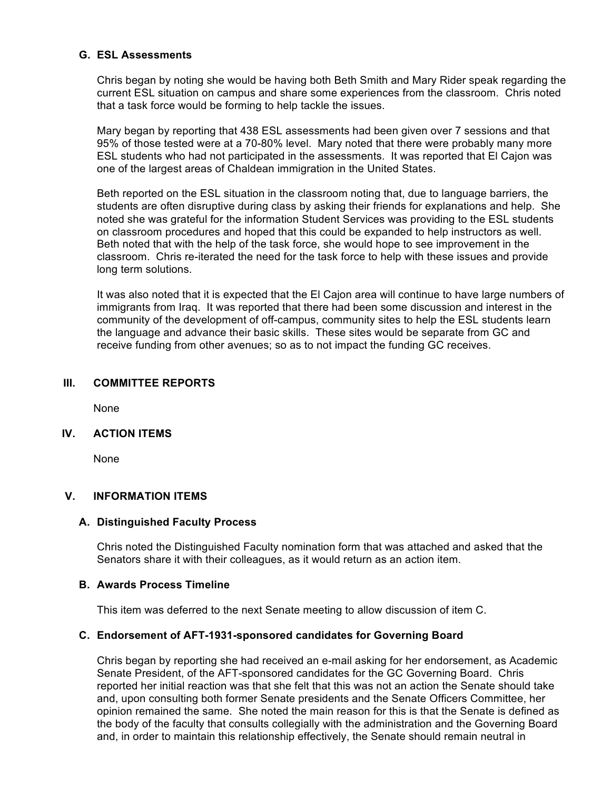## **G. ESL Assessments**

Chris began by noting she would be having both Beth Smith and Mary Rider speak regarding the current ESL situation on campus and share some experiences from the classroom. Chris noted that a task force would be forming to help tackle the issues.

Mary began by reporting that 438 ESL assessments had been given over 7 sessions and that 95% of those tested were at a 70-80% level. Mary noted that there were probably many more ESL students who had not participated in the assessments. It was reported that El Cajon was one of the largest areas of Chaldean immigration in the United States.

Beth reported on the ESL situation in the classroom noting that, due to language barriers, the students are often disruptive during class by asking their friends for explanations and help. She noted she was grateful for the information Student Services was providing to the ESL students on classroom procedures and hoped that this could be expanded to help instructors as well. Beth noted that with the help of the task force, she would hope to see improvement in the classroom. Chris re-iterated the need for the task force to help with these issues and provide long term solutions.

It was also noted that it is expected that the El Cajon area will continue to have large numbers of immigrants from Iraq. It was reported that there had been some discussion and interest in the community of the development of off-campus, community sites to help the ESL students learn the language and advance their basic skills. These sites would be separate from GC and receive funding from other avenues; so as to not impact the funding GC receives.

#### **III. COMMITTEE REPORTS**

None

#### **IV. ACTION ITEMS**

None

#### **V. INFORMATION ITEMS**

#### **A. Distinguished Faculty Process**

Chris noted the Distinguished Faculty nomination form that was attached and asked that the Senators share it with their colleagues, as it would return as an action item.

#### **B. Awards Process Timeline**

This item was deferred to the next Senate meeting to allow discussion of item C.

#### **C. Endorsement of AFT-1931-sponsored candidates for Governing Board**

Chris began by reporting she had received an e-mail asking for her endorsement, as Academic Senate President, of the AFT-sponsored candidates for the GC Governing Board. Chris reported her initial reaction was that she felt that this was not an action the Senate should take and, upon consulting both former Senate presidents and the Senate Officers Committee, her opinion remained the same. She noted the main reason for this is that the Senate is defined as the body of the faculty that consults collegially with the administration and the Governing Board and, in order to maintain this relationship effectively, the Senate should remain neutral in